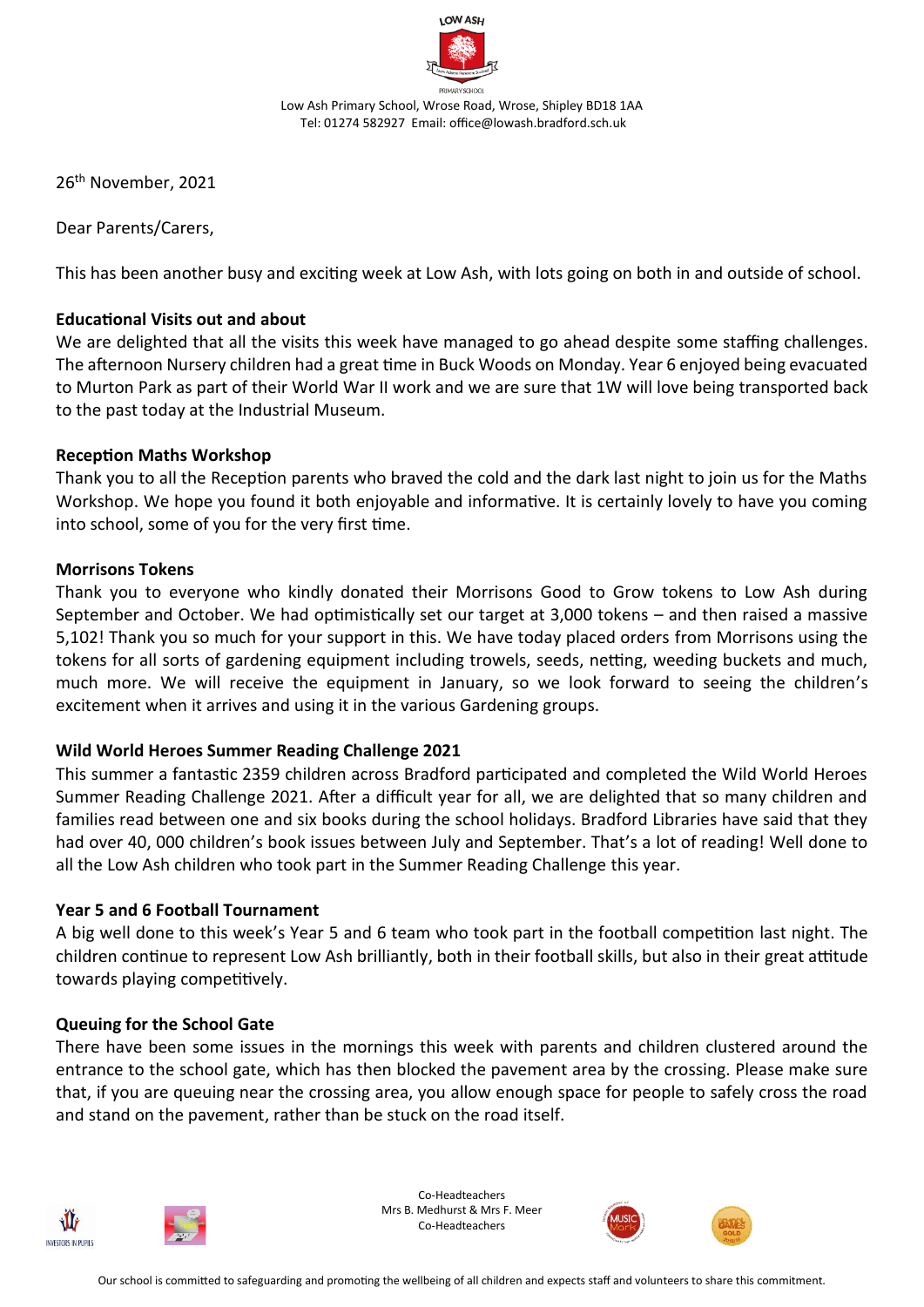

26 th November, 2021

Dear Parents/Carers,

This has been another busy and exciting week at Low Ash, with lots going on both in and outside of school.

# **Educational Visits out and about**

We are delighted that all the visits this week have managed to go ahead despite some staffing challenges. The afternoon Nursery children had a great time in Buck Woods on Monday. Year 6 enjoyed being evacuated to Murton Park as part of their World War II work and we are sure that 1W will love being transported back to the past today at the Industrial Museum.

# **Reception Maths Workshop**

Thank you to all the Reception parents who braved the cold and the dark last night to join us for the Maths Workshop. We hope you found it both enjoyable and informative. It is certainly lovely to have you coming into school, some of you for the very first time.

### **Morrisons Tokens**

Thank you to everyone who kindly donated their Morrisons Good to Grow tokens to Low Ash during September and October. We had optimistically set our target at 3,000 tokens – and then raised a massive 5,102! Thank you so much for your support in this. We have today placed orders from Morrisons using the tokens for all sorts of gardening equipment including trowels, seeds, netting, weeding buckets and much, much more. We will receive the equipment in January, so we look forward to seeing the children's excitement when it arrives and using it in the various Gardening groups.

# **Wild World Heroes Summer Reading Challenge 2021**

This summer a fantastic 2359 children across Bradford participated and completed the Wild World Heroes Summer Reading Challenge 2021. After a difficult year for all, we are delighted that so many children and families read between one and six books during the school holidays. Bradford Libraries have said that they had over 40, 000 children's book issues between July and September. That's a lot of reading! Well done to all the Low Ash children who took part in the Summer Reading Challenge this year.

#### **Year 5 and 6 Football Tournament**

A big well done to this week's Year 5 and 6 team who took part in the football competition last night. The children continue to represent Low Ash brilliantly, both in their football skills, but also in their great attitude towards playing competitively.

# **Queuing for the School Gate**

There have been some issues in the mornings this week with parents and children clustered around the entrance to the school gate, which has then blocked the pavement area by the crossing. Please make sure that, if you are queuing near the crossing area, you allow enough space for people to safely cross the road and stand on the pavement, rather than be stuck on the road itself.





Co-Headteachers Mrs B. Medhurst & Mrs F. Meer Co-Headteachers